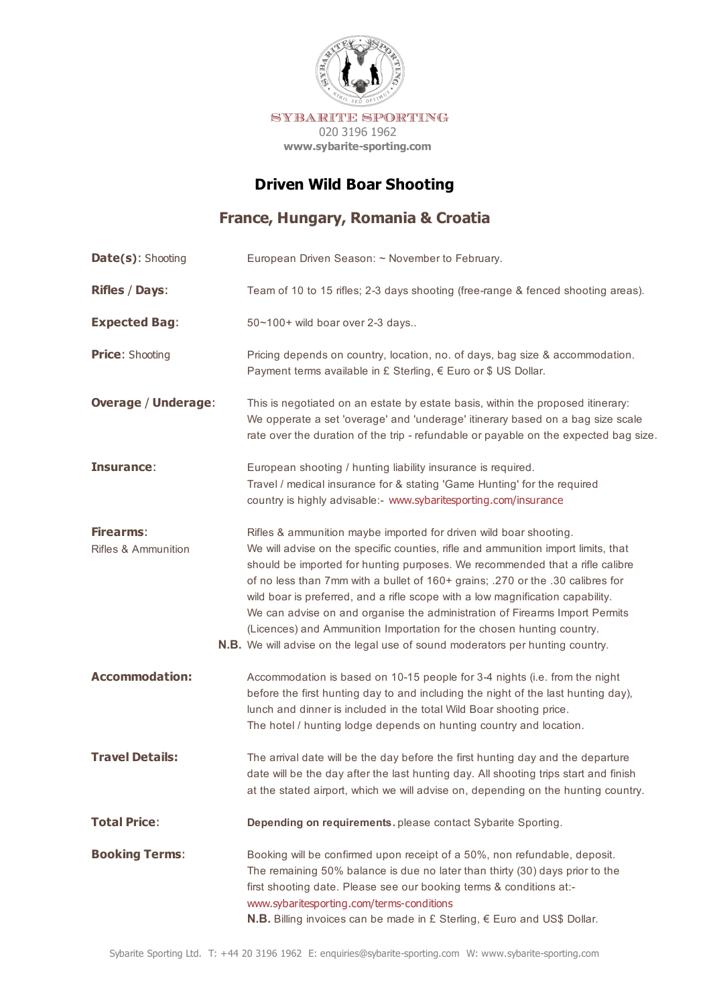

# **Driven Wild Boar Shooting**

## **France, Hungary, Romania & Croatia**

| Date(s): Shooting                           | European Driven Season: ~ November to February.                                                                                                                                                                                                                                                                                                                                                                                                                                                                                                                                                                                                            |
|---------------------------------------------|------------------------------------------------------------------------------------------------------------------------------------------------------------------------------------------------------------------------------------------------------------------------------------------------------------------------------------------------------------------------------------------------------------------------------------------------------------------------------------------------------------------------------------------------------------------------------------------------------------------------------------------------------------|
| <b>Rifles / Days:</b>                       | Team of 10 to 15 rifles; 2-3 days shooting (free-range & fenced shooting areas).                                                                                                                                                                                                                                                                                                                                                                                                                                                                                                                                                                           |
| <b>Expected Bag:</b>                        | 50~100+ wild boar over 2-3 days                                                                                                                                                                                                                                                                                                                                                                                                                                                                                                                                                                                                                            |
| <b>Price: Shooting</b>                      | Pricing depends on country, location, no. of days, bag size & accommodation.<br>Payment terms available in £ Sterling, € Euro or \$ US Dollar.                                                                                                                                                                                                                                                                                                                                                                                                                                                                                                             |
| <b>Overage / Underage:</b>                  | This is negotiated on an estate by estate basis, within the proposed itinerary:<br>We opperate a set 'overage' and 'underage' itinerary based on a bag size scale<br>rate over the duration of the trip - refundable or payable on the expected bag size.                                                                                                                                                                                                                                                                                                                                                                                                  |
| Insurance:                                  | European shooting / hunting liability insurance is required.<br>Travel / medical insurance for & stating 'Game Hunting' for the required<br>country is highly advisable:- www.sybaritesporting.com/insurance                                                                                                                                                                                                                                                                                                                                                                                                                                               |
| Firearms:<br><b>Rifles &amp; Ammunition</b> | Rifles & ammunition maybe imported for driven wild boar shooting.<br>We will advise on the specific counties, rifle and ammunition import limits, that<br>should be imported for hunting purposes. We recommended that a rifle calibre<br>of no less than 7mm with a bullet of 160+ grains; .270 or the .30 calibres for<br>wild boar is preferred, and a rifle scope with a low magnification capability.<br>We can advise on and organise the administration of Firearms Import Permits<br>(Licences) and Ammunition Importation for the chosen hunting country.<br><b>N.B.</b> We will advise on the legal use of sound moderators per hunting country. |
| <b>Accommodation:</b>                       | Accommodation is based on 10-15 people for 3-4 nights (i.e. from the night<br>before the first hunting day to and including the night of the last hunting day),<br>lunch and dinner is included in the total Wild Boar shooting price.<br>The hotel / hunting lodge depends on hunting country and location.                                                                                                                                                                                                                                                                                                                                               |
| <b>Travel Details:</b>                      | The arrival date will be the day before the first hunting day and the departure<br>date will be the day after the last hunting day. All shooting trips start and finish<br>at the stated airport, which we will advise on, depending on the hunting country.                                                                                                                                                                                                                                                                                                                                                                                               |
| <b>Total Price:</b>                         | Depending on requirements. please contact Sybarite Sporting.                                                                                                                                                                                                                                                                                                                                                                                                                                                                                                                                                                                               |
| <b>Booking Terms:</b>                       | Booking will be confirmed upon receipt of a 50%, non refundable, deposit.<br>The remaining 50% balance is due no later than thirty (30) days prior to the<br>first shooting date. Please see our booking terms & conditions at:-<br>www.sybaritesporting.com/terms-conditions<br>N.B. Billing invoices can be made in £ Sterling, € Euro and US\$ Dollar.                                                                                                                                                                                                                                                                                                  |
|                                             |                                                                                                                                                                                                                                                                                                                                                                                                                                                                                                                                                                                                                                                            |